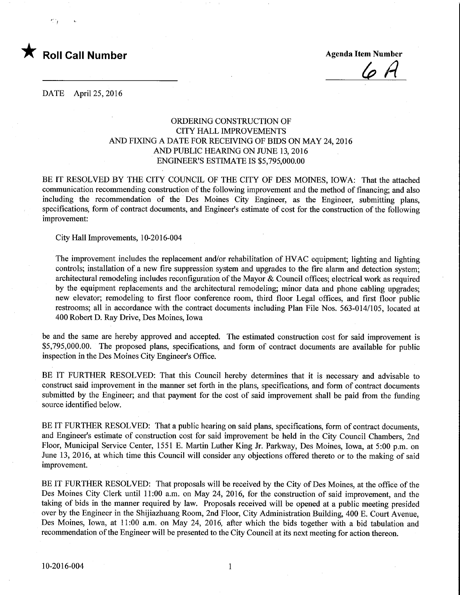

 $\varphi$   $A$ 

DATE April 25, 2016

## ORDERING CONSTRUCTION OF CITY HALL IMPROVEMENTS AND FIXING A DATE FOR RECEIVING OF BIDS ON MAY 24, 2016 AND PUBLIC HEARING ON JUNE 13, 2016 ENGINEER'S ESTIMATE IS \$5,795,000.00

BE IT RESOLVED BY THE CITY COUNCIL OF THE CITY OF DES MOINES, IOWA: That the attached communication recommending construction of the following improvement and the method of financing; and also including the recommendation of the Des Moines City Engineer, as the Engineer, submitting plans, specifications, form of contract documents, and Engineer's estimate of cost for the construction of the following improvement:

City Hall Improvements, 10-2016-004

The improvement includes the replacement and/or rehabilitation of HVAC equipment; lighting and lighting controls; installation of a new fire suppression system and upgrades to the fire alarm and detection system; architectural remodeling includes reconfiguration of the Mayor & Council offices; electrical work as required by the equipment replacements and the architectural remodeling; minor data and phone cabling upgrades; new elevator; remodeling to first floor conference room, third floor Legal offices, and first floor public restrooms; all in accordance with the contract documents including Plan File Nos. 563-014/105, located at 400 Robert D. Ray Drive, Des Moines, Iowa

be and the same are hereby approved and accepted. The estimated construction cost for said improvement is \$5,795,000.00. The proposed plans, specifications, and form of contract documents are available for public inspection in the Des Moines City Engineer's Office.

BE IT FURTHER RESOLVED: That this Council hereby determines that it is necessary and advisable to construct said improvement in the manner set forth in the plans, specifications, and form of contract documents submitted by the Engineer; and that payment for the cost of said improvement shall be paid from the funding source identified below.

BE IT FURTHER RESOLVED: That a public hearing on said plans, specifications, form of contract documents, and Engineer's estimate of construction cost for said improvement be held in the City Council Chambers, 2nd Floor, Municipal Service Center, 1551 E. Martin Luther King Jr. Parkway, Des Moines, Iowa, at 5:00 p.m. on June 13, 2016, at which time this Council will consider any objections offered thereto or to the making of said improvement.

BE IT FURTHER RESOLVED: That proposals will be received by the City of Des Moines, at the office of the Des Moines City Clerk until 11:00 a.m. on May 24, 2016, for the construction of said improvement, and the taking of bids in the manner required by law. Proposals received will be opened at a public meeting presided over by the Engineer in the Shijiazhuang Room, 2nd Floor, City Administration Building, 400 E. Court Avenue, Des Moines, Iowa, at 11:00 a.m. on May 24, 2016, after which the bids together with a bid tabulation and recommendation of the Engineer will be presented to the City Council at its next meeting for action thereon.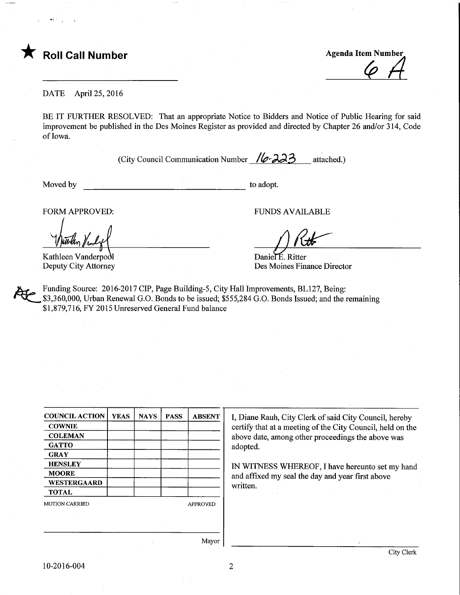

Roll Call Number<br>
Agenda Item Number<br>
Call Number<br>
Call Number

DATE April 25, 2016

BE IT FURTHER RESOLVED: That an appropriate Notice to Bidders and Notice of Public Hearing for said improvement be published in the Des Moines Register as provided and directed by Chapter 26 and/or 314, Code of Iowa.

(City Council Communication Number  $\sqrt{\sigma}$ 33 attached.)

Moved by to adopt.

FORM APPROVED: FUNDS AVAILABLE

Kathleen Vanderpodl Deputy City Attorney

Daniel E. Ritter Des Moines Finance Director

Funding Source: 2016-2017 CIP, Page Building-5, City Hall Improvements, BL127, Being: \$3,360,000, Urban Renewal G.O. Bonds to be issued; \$555,284 G.O. Bonds Issued; and the remaining \$1,879,716, FY 2015 Unreserved General Fund balance

| <b>COUNCIL ACTION</b> | <b>YEAS</b> | <b>NAYS</b> | <b>PASS</b> | <b>ABSENT</b>   |  |
|-----------------------|-------------|-------------|-------------|-----------------|--|
| <b>COWNIE</b>         |             |             |             |                 |  |
| <b>COLEMAN</b>        |             |             |             |                 |  |
| <b>GATTO</b>          |             |             |             |                 |  |
| <b>GRAY</b>           |             |             |             |                 |  |
| <b>HENSLEY</b>        |             |             |             |                 |  |
| <b>MOORE</b>          |             |             |             |                 |  |
| WESTERGAARD           |             |             |             |                 |  |
| <b>TOTAL</b>          |             |             |             |                 |  |
| <b>MOTION CARRIED</b> |             |             |             | <b>APPROVED</b> |  |
|                       |             |             |             |                 |  |
|                       |             |             |             |                 |  |

I, Diane Rauh, City Clerk of said City Council, hereby certify that at a meeting of the City Council, held on the above date, among other proceedings the above was adopted.

IN WITNESS WHEREOF, I have hereunto set my hand and affixed my seal the day and year first above written.

Mayor